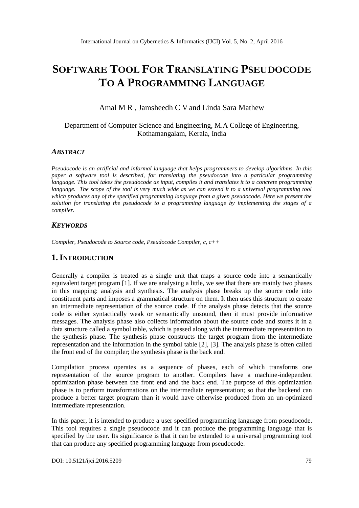# **SOFTWARE TOOL FOR TRANSLATING PSEUDOCODE TO A PROGRAMMING LANGUAGE**

Amal M R , Jamsheedh C V and Linda Sara Mathew

## Department of Computer Science and Engineering, M.A College of Engineering, Kothamangalam, Kerala, India

#### *ABSTRACT*

*Pseudocode is an artificial and informal language that helps programmers to develop algorithms. In this paper a software tool is described, for translating the pseudocode into a particular programming language. This tool takes the pseudocode as input, compiles it and translates it to a concrete programming*  language. The scope of the tool is very much wide as we can extend it to a universal programming tool *which produces any of the specified programming language from a given pseudocode. Here we present the solution for translating the pseudocode to a programming language by implementing the stages of a compiler.* 

#### *KEYWORDS*

*Compiler, Pseudocode to Source code, Pseudocode Compiler, c, c++* 

## **1.INTRODUCTION**

Generally a compiler is treated as a single unit that maps a source code into a semantically equivalent target program [1]. If we are analysing a little, we see that there are mainly two phases in this mapping: analysis and synthesis. The analysis phase breaks up the source code into constituent parts and imposes a grammatical structure on them. It then uses this structure to create an intermediate representation of the source code. If the analysis phase detects that the source code is either syntactically weak or semantically unsound, then it must provide informative messages. The analysis phase also collects information about the source code and stores it in a data structure called a symbol table, which is passed along with the intermediate representation to the synthesis phase. The synthesis phase constructs the target program from the intermediate representation and the information in the symbol table [2], [3]. The analysis phase is often called the front end of the compiler; the synthesis phase is the back end.

Compilation process operates as a sequence of phases, each of which transforms one representation of the source program to another. Compilers have a machine-independent optimization phase between the front end and the back end. The purpose of this optimization phase is to perform transformations on the intermediate representation; so that the backend can produce a better target program than it would have otherwise produced from an un-optimized intermediate representation.

In this paper, it is intended to produce a user specified programming language from pseudocode. This tool requires a single pseudocode and it can produce the programming language that is specified by the user. Its significance is that it can be extended to a universal programming tool that can produce any specified programming language from pseudocode.

DOI: 10.5121/ijci.2016.5209 79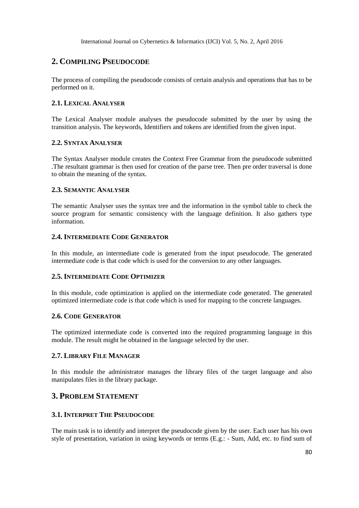## **2. COMPILING PSEUDOCODE**

The process of compiling the pseudocode consists of certain analysis and operations that has to be performed on it.

## **2.1. LEXICAL ANALYSER**

The Lexical Analyser module analyses the pseudocode submitted by the user by using the transition analysis. The keywords, Identifiers and tokens are identified from the given input.

## **2.2. SYNTAX ANALYSER**

The Syntax Analyser module creates the Context Free Grammar from the pseudocode submitted .The resultant grammar is then used for creation of the parse tree. Then pre order traversal is done to obtain the meaning of the syntax.

## **2.3. SEMANTIC ANALYSER**

The semantic Analyser uses the syntax tree and the information in the symbol table to check the source program for semantic consistency with the language definition. It also gathers type information.

## **2.4. INTERMEDIATE CODE GENERATOR**

In this module, an intermediate code is generated from the input pseudocode. The generated intermediate code is that code which is used for the conversion to any other languages.

## **2.5. INTERMEDIATE CODE OPTIMIZER**

In this module, code optimization is applied on the intermediate code generated. The generated optimized intermediate code is that code which is used for mapping to the concrete languages.

#### **2.6. CODE GENERATOR**

The optimized intermediate code is converted into the required programming language in this module. The result might be obtained in the language selected by the user.

## **2.7. LIBRARY FILE MANAGER**

In this module the administrator manages the library files of the target language and also manipulates files in the library package.

## **3. PROBLEM STATEMENT**

#### **3.1. INTERPRET THE PSEUDOCODE**

The main task is to identify and interpret the pseudocode given by the user. Each user has his own style of presentation, variation in using keywords or terms (E.g.: - Sum, Add, etc. to find sum of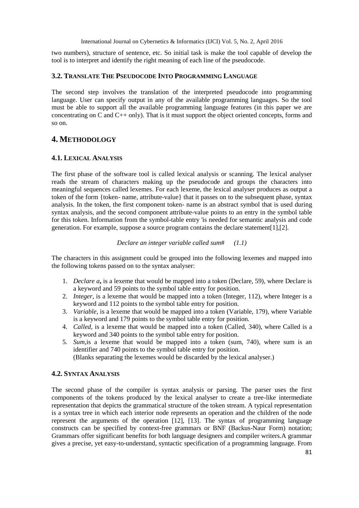two numbers), structure of sentence, etc. So initial task is make the tool capable of develop the tool is to interpret and identify the right meaning of each line of the pseudocode.

#### **3.2. TRANSLATE THE PSEUDOCODE INTO PROGRAMMING LANGUAGE**

The second step involves the translation of the interpreted pseudocode into programming language. User can specify output in any of the available programming languages. So the tool must be able to support all the available programming language features (in this paper we are concentrating on C and C++ only). That is it must support the object oriented concepts, forms and so on.

## **4. METHODOLOGY**

#### **4.1. LEXICAL ANALYSIS**

The first phase of the software tool is called lexical analysis or scanning. The lexical analyser reads the stream of characters making up the pseudocode and groups the characters into meaningful sequences called lexemes. For each lexeme, the lexical analyser produces as output a token of the form {token- name, attribute-value} that it passes on to the subsequent phase, syntax analysis. In the token, the first component token- name is an abstract symbol that is used during syntax analysis, and the second component attribute-value points to an entry in the symbol table for this token. Information from the symbol-table entry 'is needed for semantic analysis and code generation. For example, suppose a source program contains the declare statement[1],[2].

#### *Declare an integer variable called sum*# *(1.1)*

The characters in this assignment could be grouped into the following lexemes and mapped into the following tokens passed on to the syntax analyser:

- 1. *Declare a***,** is a lexeme that would be mapped into a token (Declare, 59), where Declare is a keyword and 59 points to the symbol table entry for position.
- 2. *Integer,* is a lexeme that would be mapped into a token (Integer, 112), where Integer is a keyword and 112 points to the symbol table entry for position.
- 3. *Variable,* is a lexeme that would be mapped into a token (Variable, 179), where Variable is a keyword and 179 points to the symbol table entry for position.
- 4. *Called,* is a lexeme that would be mapped into a token (Called, 340), where Called is a keyword and 340 points to the symbol table entry for position.
- 5. *Sum,*is a lexeme that would be mapped into a token (sum, 740), where sum is an identifier and 740 points to the symbol table entry for position.

(Blanks separating the lexemes would be discarded by the lexical analyser.)

## **4.2. SYNTAX ANALYSIS**

The second phase of the compiler is syntax analysis or parsing. The parser uses the first components of the tokens produced by the lexical analyser to create a tree-like intermediate representation that depicts the grammatical structure of the token stream. A typical representation is a syntax tree in which each interior node represents an operation and the children of the node represent the arguments of the operation [12], [13]. The syntax of programming language constructs can be specified by context-free grammars or BNF (Backus-Naur Form) notation; Grammars offer significant benefits for both language designers and compiler writers.A grammar gives a precise, yet easy-to-understand, syntactic specification of a programming language. From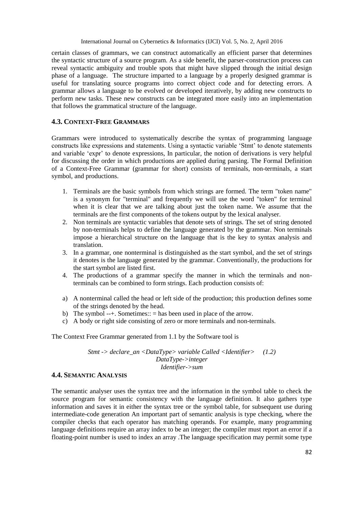certain classes of grammars, we can construct automatically an efficient parser that determines the syntactic structure of a source program. As a side benefit, the parser-construction process can reveal syntactic ambiguity and trouble spots that might have slipped through the initial design phase of a language. The structure imparted to a language by a properly designed grammar is useful for translating source programs into correct object code and for detecting errors. A grammar allows a language to be evolved or developed iteratively, by adding new constructs to perform new tasks. These new constructs can be integrated more easily into an implementation that follows the grammatical structure of the language.

## **4.3. CONTEXT-FREE GRAMMARS**

Grammars were introduced to systematically describe the syntax of programming language constructs like expressions and statements. Using a syntactic variable "Stmt" to denote statements and variable "expr" to denote expressions, In particular, the notion of derivations is very helpful for discussing the order in which productions are applied during parsing. The Formal Definition of a Context-Free Grammar (grammar for short) consists of terminals, non-terminals, a start symbol, and productions.

- 1. Terminals are the basic symbols from which strings are formed. The term "token name" is a synonym for "terminal" and frequently we will use the word "token" for terminal when it is clear that we are talking about just the token name. We assume that the terminals are the first components of the tokens output by the lexical analyser.
- 2. Non terminals are syntactic variables that denote sets of strings. The set of string denoted by non-terminals helps to define the language generated by the grammar. Non terminals impose a hierarchical structure on the language that is the key to syntax analysis and translation.
- 3. In a grammar, one nonterminal is distinguished as the start symbol, and the set of strings it denotes is the language generated by the grammar. Conventionally, the productions for the start symbol are listed first.
- 4. The productions of a grammar specify the manner in which the terminals and nonterminals can be combined to form strings. Each production consists of:
- a) A nonterminal called the head or left side of the production; this production defines some of the strings denoted by the head.
- b) The symbol --+. Sometimes:: = has been used in place of the arrow.
- c) A body or right side consisting of zero or more terminals and non-terminals.

The Context Free Grammar generated from 1.1 by the Software tool is

*Stmt -> declare\_an <DataType> variable Called <Identifier> (1.2) DataType->integer Identifier->sum*

#### **4.4. SEMANTIC ANALYSIS**

The semantic analyser uses the syntax tree and the information in the symbol table to check the source program for semantic consistency with the language definition. It also gathers type information and saves it in either the syntax tree or the symbol table, for subsequent use during intermediate-code generation An important part of semantic analysis is type checking, where the compiler checks that each operator has matching operands. For example, many programming language definitions require an array index to be an integer; the compiler must report an error if a floating-point number is used to index an array .The language specification may permit some type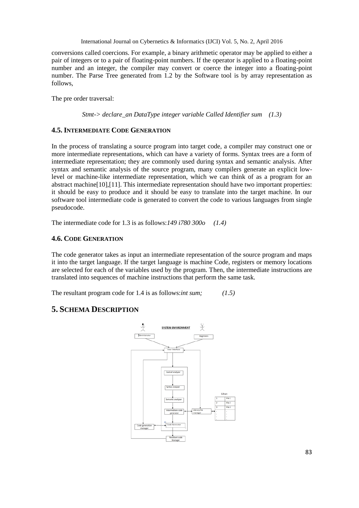conversions called coercions. For example, a binary arithmetic operator may be applied to either a pair of integers or to a pair of floating-point numbers. If the operator is applied to a floating-point number and an integer, the compiler may convert or coerce the integer into a floating-point number. The Parse Tree generated from 1.2 by the Software tool is by array representation as follows,

The pre order traversal:

*Stmt-> declare\_an DataType integer variable Called Identifier sum (1.3)*

## **4.5. INTERMEDIATE CODE GENERATION**

In the process of translating a source program into target code, a compiler may construct one or more intermediate representations, which can have a variety of forms. Syntax trees are a form of intermediate representation; they are commonly used during syntax and semantic analysis. After syntax and semantic analysis of the source program, many compilers generate an explicit lowlevel or machine-like intermediate representation, which we can think of as a program for an abstract machine[10],[11]. This intermediate representation should have two important properties: it should be easy to produce and it should be easy to translate into the target machine. In our software tool intermediate code is generated to convert the code to various languages from single pseudocode.

The intermediate code for 1.3 is as follows:*149 i780 300o (1.4)*

## **4.6. CODE GENERATION**

The code generator takes as input an intermediate representation of the source program and maps it into the target language. If the target language is machine Code, registers or memory locations are selected for each of the variables used by the program. Then, the intermediate instructions are translated into sequences of machine instructions that perform the same task.

The resultant program code for 1.4 is as follows:*int sum; (1.5)*

# **5. SCHEMA DESCRIPTION**

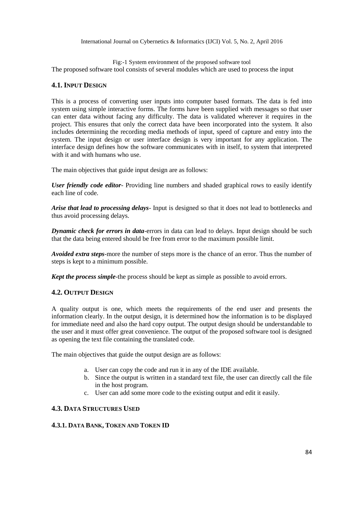Fig:-1 System environment of the proposed software tool The proposed software tool consists of several modules which are used to process the input

## **4.1. INPUT DESIGN**

This is a process of converting user inputs into computer based formats. The data is fed into system using simple interactive forms. The forms have been supplied with messages so that user can enter data without facing any difficulty. The data is validated wherever it requires in the project. This ensures that only the correct data have been incorporated into the system. It also includes determining the recording media methods of input, speed of capture and entry into the system. The input design or user interface design is very important for any application. The interface design defines how the software communicates with in itself, to system that interpreted with it and with humans who use.

The main objectives that guide input design are as follows:

*User friendly code editor*- Providing line numbers and shaded graphical rows to easily identify each line of code.

*Arise that lead to processing delays*- Input is designed so that it does not lead to bottlenecks and thus avoid processing delays.

*Dynamic check for errors in data*-errors in data can lead to delays. Input design should be such that the data being entered should be free from error to the maximum possible limit.

*Avoided extra steps*-more the number of steps more is the chance of an error. Thus the number of steps is kept to a minimum possible.

*Kept the process simple*-the process should be kept as simple as possible to avoid errors.

#### **4.2. OUTPUT DESIGN**

A quality output is one, which meets the requirements of the end user and presents the information clearly. In the output design, it is determined how the information is to be displayed for immediate need and also the hard copy output. The output design should be understandable to the user and it must offer great convenience. The output of the proposed software tool is designed as opening the text file containing the translated code.

The main objectives that guide the output design are as follows:

- a. User can copy the code and run it in any of the IDE available.
- b. Since the output is written in a standard text file, the user can directly call the file in the host program.
- c. User can add some more code to the existing output and edit it easily.

#### **4.3. DATA STRUCTURES USED**

#### **4.3.1. DATA BANK, TOKEN AND TOKEN ID**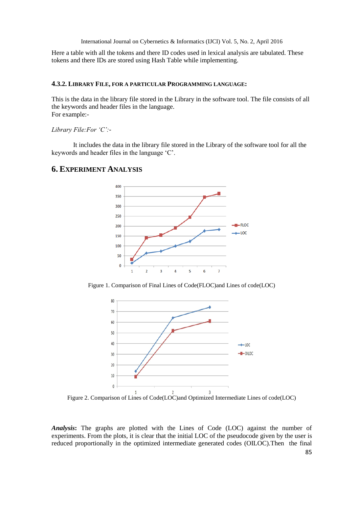Here a table with all the tokens and there ID codes used in lexical analysis are tabulated. These tokens and there IDs are stored using Hash Table while implementing.

#### **4.3.2. LIBRARY FILE, FOR A PARTICULAR PROGRAMMING LANGUAGE:**

This is the data in the library file stored in the Library in the software tool. The file consists of all the keywords and header files in the language. For example:-

#### *Library File:For 'C':-*

 It includes the data in the library file stored in the Library of the software tool for all the keywords and header files in the language "C".

## **6. EXPERIMENT ANALYSIS**



Figure 1. Comparison of Final Lines of Code(FLOC)and Lines of code(LOC)



Figure 2. Comparison of Lines of Code(LOC)and Optimized Intermediate Lines of code(LOC)

85 *Analysis***:** The graphs are plotted with the Lines of Code (LOC) against the number of experiments. From the plots, it is clear that the initial LOC of the pseudocode given by the user is reduced proportionally in the optimized intermediate generated codes (OILOC).Then the final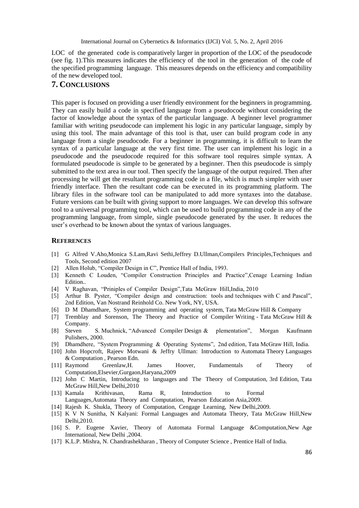LOC of the generated code is comparatively larger in proportion of the LOC of the pseudocode (see fig. 1).This measures indicates the efficiency of the tool in the generation of the code of the specified programming language. This measures depends on the efficiency and compatibility of the new developed tool.

## **7. CONCLUSIONS**

This paper is focused on providing a user friendly environment for the beginners in programming. They can easily build a code in specified language from a pseudocode without considering the factor of knowledge about the syntax of the particular language. A beginner level programmer familiar with writing pseudocode can implement his logic in any particular language, simply by using this tool. The main advantage of this tool is that, user can build program code in any language from a single pseudocode. For a beginner in programming, it is difficult to learn the syntax of a particular language at the very first time. The user can implement his logic in a pseudocode and the pseudocode required for this software tool requires simple syntax. A formulated pseudocode is simple to be generated by a beginner. Then this pseudocode is simply submitted to the text area in our tool. Then specify the language of the output required. Then after processing he will get the resultant programming code in a file, which is much simpler with user friendly interface. Then the resultant code can be executed in its programming platform. The library files in the software tool can be manipulated to add more syntaxes into the database. Future versions can be built with giving support to more languages. We can develop this software tool to a universal programming tool, which can be used to build programming code in any of the programming language, from simple, single pseudocode generated by the user. It reduces the user"s overhead to be known about the syntax of various languages.

#### **REFERENCES**

- [1] G Alfred V.Aho,Monica S.Lam,Ravi Sethi,Jeffrey D.Ullman,Compilers Principles,Techniques and Tools, Second edition 2007
- [2] Allen Holub, "Compiler Design in C", Prentice Hall of India, 1993.
- [3] Kenneth C Louden, "Compiler Construction Principles and Practice",Cenage Learning Indian Edition..
- [4] V Raghavan, "Priniples of Compiler Design",Tata McGraw Hill,India, 2010
- [5] Arthur B. Pyster, "Compiler design and construction: tools and techniques with C and Pascal", 2nd Edition, Van Nostrand Reinhold Co. New York, NY, USA.
- [6] D M Dhamdhare, System programming and operating system, Tata McGraw Hill & Company
- [7] Tremblay and Sorenson, The Theory and Practice of Compiler Writing Tata McGraw Hill & Company.<br>[8] Steven
- S. Muchnick, "Advanced Compiler Design & plementation", Morgan Kaufmann Pulishers, 2000.
- [9] Dhamdhere, "System Programming & Operating Systems", 2nd edition, Tata McGraw Hill, India.
- [10] John Hopcroft, Rajeev Motwani & Jeffry Ullman: Introduction to Automata Theory Languages & Computation , Pearson Edn.
- [11] Raymond Greenlaw,H. James Hoover, Fundamentals of Theory of Computation,Elsevier,Gurgaon,Haryana,2009
- [12] John C Martin, Introducing to languages and The Theory of Computation, 3rd Edition, Tata McGraw Hill,New Delhi,2010
- [13] Kamala Krithivasan, Rama R, Introduction to Formal Languages,Automata Theory and Computation, Pearson Education Asia,2009.
- [14] Rajesh K. Shukla, Theory of Computation, Cengage Learning, New Delhi, 2009.
- [15] K V N Sunitha, N Kalyani: Formal Languages and Automata Theory, Tata McGraw Hill,New Delhi,2010.
- [16] S. P. Eugene Xavier, Theory of Automata Formal Language &Computation,New Age International, New Delhi ,2004.
- [17] K.L.P. Mishra, N. Chandrashekharan , Theory of Computer Science , Prentice Hall of India.